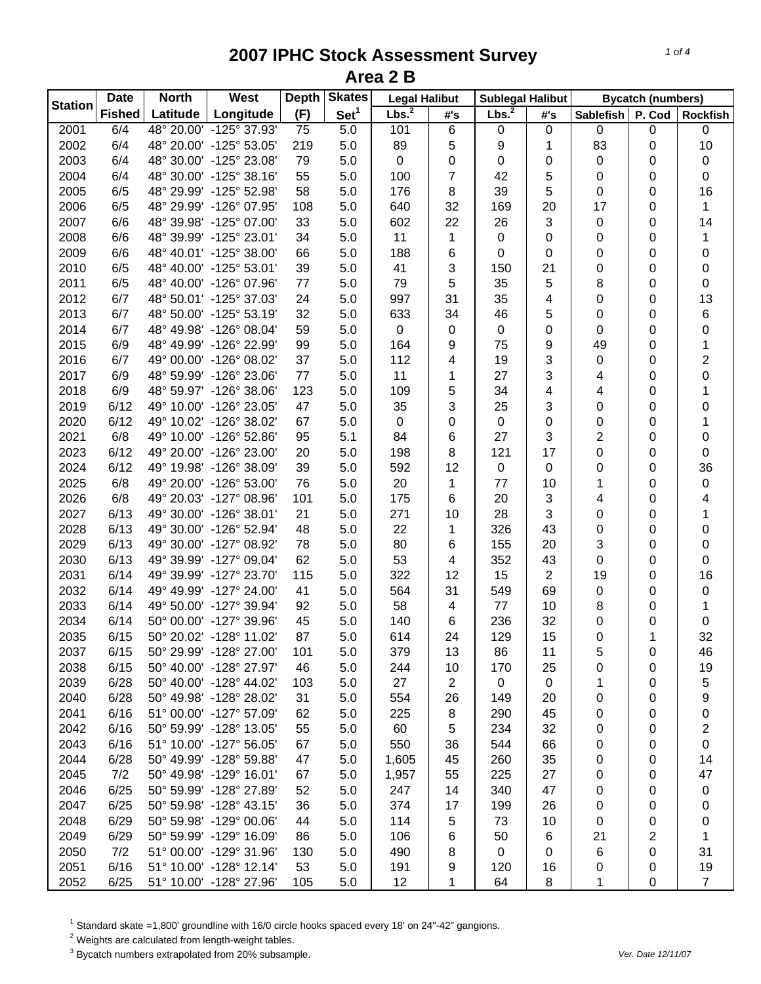| Lbs. <sup>2</sup><br>Set <sup>1</sup><br><b>Fished</b><br>Latitude<br>Longitude<br>(F)<br>P. Cod<br>#'s<br><b>Sablefish</b><br><b>Rockfish</b><br>#'s<br>2001<br>6/4<br>48° 20.00' -125° 37.93'<br>75<br>5.0<br>101<br>6<br>$\pmb{0}$<br>$\boldsymbol{0}$<br>$\pmb{0}$<br>$\pmb{0}$<br>0<br>83<br>10<br>2002<br>6/4<br>48° 20.00' -125° 53.05'<br>219<br>89<br>5<br>5.0<br>9<br>1<br>0<br>2003<br>6/4<br>48° 30.00' -125° 23.08'<br>79<br>$\pmb{0}$<br>0<br>5.0<br>0<br>0<br>0<br>$\pmb{0}$<br>0<br>$\overline{7}$<br>2004<br>6/4<br>48° 30.00' -125° 38.16'<br>55<br>100<br>42<br>5<br>0<br>5.0<br>0<br>0<br>16<br>2005<br>6/5<br>48° 29.99' -125° 52.98'<br>58<br>176<br>8<br>39<br>5<br>0<br>5.0<br>0<br>32<br>2006<br>6/5<br>48° 29.99' -126° 07.95'<br>108<br>169<br>20<br>17<br>1<br>5.0<br>640<br>0<br>6/6<br>22<br>0<br>14<br>2007<br>48° 39.98' -125° 07.00'<br>33<br>602<br>26<br>3<br>5.0<br>0<br>11<br>2008<br>6/6<br>48° 39.99' -125° 23.01'<br>34<br>$\pmb{0}$<br>0<br>0<br>5.0<br>1<br>0<br>1<br>$\boldsymbol{0}$<br>2009<br>6/6<br>48° 40.01' -125° 38.00'<br>66<br>5.0<br>188<br>6<br>0<br>0<br>0<br>0<br>3<br>21<br>2010<br>6/5<br>48° 40.00' -125° 53.01'<br>39<br>5.0<br>41<br>150<br>$\pmb{0}$<br>0<br>0<br>48° 40.00' -126° 07.96'<br>5<br>5<br>8<br>0<br>2011<br>6/5<br>77<br>5.0<br>79<br>35<br>0<br>13<br>4<br>0<br>2012<br>6/7<br>48° 50.01' -125° 37.03'<br>24<br>5.0<br>997<br>31<br>35<br>0<br>$\,6$<br>2013<br>6/7<br>48° 50.00' -125° 53.19'<br>32<br>5.0<br>633<br>34<br>46<br>5<br>0<br>0<br>0<br>2014<br>6/7<br>48° 49.98' -126° 08.04'<br>59<br>5.0<br>0<br>0<br>0<br>$\pmb{0}$<br>0<br>0<br>164<br>49<br>1<br>2015<br>6/9<br>48° 49.99' -126° 22.99'<br>99<br>9<br>75<br>9<br>5.0<br>0<br>$\overline{2}$<br>3<br>2016<br>6/7<br>49° 00.00' -126° 08.02'<br>5.0<br>112<br>0<br>37<br>4<br>19<br>0<br>3<br>0<br>2017<br>6/9<br>48° 59.99' -126° 23.06'<br>5.0<br>11<br>27<br>77<br>1<br>4<br>0<br>6/9<br>5<br>2018<br>48° 59.97' -126° 38.06'<br>123<br>5.0<br>109<br>34<br>4<br>1<br>4<br>0<br>6/12<br>3<br>2019<br>49° 10.00' -126° 23.05'<br>47<br>35<br>25<br>3<br>0<br>5.0<br>0<br>0<br>2020<br>6/12<br>49° 10.02' -126° 38.02'<br>67<br>5.0<br>$\pmb{0}$<br>$\pmb{0}$<br>0<br>1<br>0<br>0<br>0<br>6/8<br>3<br>2<br>2021<br>49° 10.00' -126° 52.86'<br>95<br>5.1<br>84<br>6<br>27<br>0<br>0<br>2023<br>6/12<br>49° 20.00' -126° 23.00'<br>0<br>20<br>5.0<br>198<br>8<br>121<br>17<br>0<br>0<br>6/12<br>49° 19.98' -126° 38.09'<br>36<br>2024<br>39<br>592<br>12<br>$\pmb{0}$<br>5.0<br>0<br>0<br>0<br>2025<br>6/8<br>77<br>49° 20.00' -126° 53.00'<br>76<br>20<br>10<br>1<br>$\pmb{0}$<br>5.0<br>1<br>0<br>6<br>2026<br>6/8<br>49° 20.03' -127° 08.96'<br>175<br>20<br>3<br>4<br>4<br>101<br>5.0<br>0<br>3<br>2027<br>6/13<br>49° 30.00' -126° 38.01'<br>21<br>5.0<br>271<br>10<br>28<br>0<br>1<br>0<br>2028<br>6/13<br>49° 30.00' -126° 52.94'<br>48<br>5.0<br>22<br>326<br>43<br>0<br>0<br>1<br>0<br>3<br>2029<br>6/13<br>49° 30.00' -127° 08.92'<br>78<br>5.0<br>80<br>6<br>155<br>20<br>0<br>0<br>352<br>0<br>2030<br>6/13<br>49° 39.99' -127° 09.04'<br>62<br>5.0<br>53<br>43<br>0<br>4<br>0<br>16<br>2031<br>6/14<br>49° 39.99' -127° 23.70'<br>115<br>5.0<br>322<br>12<br>15<br>$\overline{2}$<br>19<br>0<br>2032<br>6/14<br>49° 49.99' -127° 24.00'<br>41<br>564<br>31<br>69<br>0<br>5.0<br>549<br>0<br>$\pmb{0}$<br>2033<br>58<br>8<br>49° 50.00' -127° 39.94'<br>77<br>1<br>6/14<br>92<br>5.0<br>10<br>0<br>4<br>2034<br>50° 00.00' -127° 39.96'<br>236<br>32<br>$\mathbf 0$<br>$\pmb{0}$<br>6/14<br>45<br>5.0<br>140<br>6<br>0<br>2035<br>129<br>32<br>50° 20.02' -128° 11.02'<br>87<br>5.0<br>614<br>15<br>0<br>6/15<br>24<br>1<br>2037<br>6/15<br>50° 29.99' -128° 27.00'<br>101<br>5.0<br>379<br>13<br>5<br>46<br>86<br>11<br>0<br>2038<br>19<br>6/15<br>50° 40.00' -128° 27.97'<br>46<br>5.0<br>244<br>10<br>170<br>25<br>0<br>0<br>2039<br>6/28<br>50° 40.00' -128° 44.02'<br>27<br>2<br>5<br>103<br>5.0<br>$\mathbf 0$<br>$\mathbf 0$<br>1<br>0<br>2040<br>6/28<br>50° 49.98' -128° 28.02'<br>31<br>9<br>5.0<br>554<br>26<br>149<br>20<br>0<br>0<br>2041<br>6/16<br>51° 00.00' -127° 57.09'<br>62<br>8<br>5.0<br>225<br>290<br>45<br>0<br>0<br>0<br>2042<br>6/16<br>50° 59.99' -128° 13.05'<br>55<br>5<br>234<br>32<br>2<br>5.0<br>60<br>0<br>0<br>0<br>2043<br>6/16<br>51° 10.00' -127° 56.05'<br>67<br>550<br>544<br>0<br>5.0<br>36<br>66<br>0<br>2044<br>6/28<br>50° 49.99' -128° 59.88'<br>47<br>5.0<br>260<br>35<br>14<br>1,605<br>45<br>0<br>0<br>2045<br>7/2<br>50° 49.98' -129° 16.01'<br>5.0<br>225<br>27<br>47<br>67<br>1,957<br>55<br>0<br>0<br>2046<br>6/25<br>50° 59.99' -128° 27.89'<br>5.0<br>14<br>340<br>47<br>52<br>247<br>0<br>0<br>$\pmb{0}$<br>2047<br>6/25<br>50° 59.98' -128° 43.15'<br>36<br>5.0<br>374<br>199<br>17<br>26<br>0<br>0<br>0<br>2048<br>6/29<br>50° 59.98' -129° 00.06'<br>5.0<br>114<br>5<br>73<br>44<br>10<br>0<br>0<br>0 | <b>Station</b> | <b>Date</b> | <b>North</b> | West | <b>Depth</b> | <b>Skates</b> | <b>Legal Halibut</b> |   | <b>Sublegal Halibut</b> |   | <b>Bycatch (numbers)</b> |   |   |
|--------------------------------------------------------------------------------------------------------------------------------------------------------------------------------------------------------------------------------------------------------------------------------------------------------------------------------------------------------------------------------------------------------------------------------------------------------------------------------------------------------------------------------------------------------------------------------------------------------------------------------------------------------------------------------------------------------------------------------------------------------------------------------------------------------------------------------------------------------------------------------------------------------------------------------------------------------------------------------------------------------------------------------------------------------------------------------------------------------------------------------------------------------------------------------------------------------------------------------------------------------------------------------------------------------------------------------------------------------------------------------------------------------------------------------------------------------------------------------------------------------------------------------------------------------------------------------------------------------------------------------------------------------------------------------------------------------------------------------------------------------------------------------------------------------------------------------------------------------------------------------------------------------------------------------------------------------------------------------------------------------------------------------------------------------------------------------------------------------------------------------------------------------------------------------------------------------------------------------------------------------------------------------------------------------------------------------------------------------------------------------------------------------------------------------------------------------------------------------------------------------------------------------------------------------------------------------------------------------------------------------------------------------------------------------------------------------------------------------------------------------------------------------------------------------------------------------------------------------------------------------------------------------------------------------------------------------------------------------------------------------------------------------------------------------------------------------------------------------------------------------------------------------------------------------------------------------------------------------------------------------------------------------------------------------------------------------------------------------------------------------------------------------------------------------------------------------------------------------------------------------------------------------------------------------------------------------------------------------------------------------------------------------------------------------------------------------------------------------------------------------------------------------------------------------------------------------------------------------------------------------------------------------------------------------------------------------------------------------------------------------------------------------------------------------------------------------------------------------------------------------------------------------------------------------------------------------------------------------------------------------------------------------------------------------------------------------------------------------------------------------------------------------------------------------------------------------------------------------------------------------------------------------------------------------------------------------------------------------------------------------------------------------------------------------------------------------------------------------------------------------------------------------------------------------------------------------------------------------------------------------------------------------------------------|----------------|-------------|--------------|------|--------------|---------------|----------------------|---|-------------------------|---|--------------------------|---|---|
|                                                                                                                                                                                                                                                                                                                                                                                                                                                                                                                                                                                                                                                                                                                                                                                                                                                                                                                                                                                                                                                                                                                                                                                                                                                                                                                                                                                                                                                                                                                                                                                                                                                                                                                                                                                                                                                                                                                                                                                                                                                                                                                                                                                                                                                                                                                                                                                                                                                                                                                                                                                                                                                                                                                                                                                                                                                                                                                                                                                                                                                                                                                                                                                                                                                                                                                                                                                                                                                                                                                                                                                                                                                                                                                                                                                                                                                                                                                                                                                                                                                                                                                                                                                                                                                                                                                                                                                                                                                                                                                                                                                                                                                                                                                                                                                                                                                                                                                          |                |             |              |      |              |               | Lbs. <sup>2</sup>    |   |                         |   |                          |   |   |
|                                                                                                                                                                                                                                                                                                                                                                                                                                                                                                                                                                                                                                                                                                                                                                                                                                                                                                                                                                                                                                                                                                                                                                                                                                                                                                                                                                                                                                                                                                                                                                                                                                                                                                                                                                                                                                                                                                                                                                                                                                                                                                                                                                                                                                                                                                                                                                                                                                                                                                                                                                                                                                                                                                                                                                                                                                                                                                                                                                                                                                                                                                                                                                                                                                                                                                                                                                                                                                                                                                                                                                                                                                                                                                                                                                                                                                                                                                                                                                                                                                                                                                                                                                                                                                                                                                                                                                                                                                                                                                                                                                                                                                                                                                                                                                                                                                                                                                                          |                |             |              |      |              |               |                      |   |                         |   |                          |   |   |
|                                                                                                                                                                                                                                                                                                                                                                                                                                                                                                                                                                                                                                                                                                                                                                                                                                                                                                                                                                                                                                                                                                                                                                                                                                                                                                                                                                                                                                                                                                                                                                                                                                                                                                                                                                                                                                                                                                                                                                                                                                                                                                                                                                                                                                                                                                                                                                                                                                                                                                                                                                                                                                                                                                                                                                                                                                                                                                                                                                                                                                                                                                                                                                                                                                                                                                                                                                                                                                                                                                                                                                                                                                                                                                                                                                                                                                                                                                                                                                                                                                                                                                                                                                                                                                                                                                                                                                                                                                                                                                                                                                                                                                                                                                                                                                                                                                                                                                                          |                |             |              |      |              |               |                      |   |                         |   |                          |   |   |
|                                                                                                                                                                                                                                                                                                                                                                                                                                                                                                                                                                                                                                                                                                                                                                                                                                                                                                                                                                                                                                                                                                                                                                                                                                                                                                                                                                                                                                                                                                                                                                                                                                                                                                                                                                                                                                                                                                                                                                                                                                                                                                                                                                                                                                                                                                                                                                                                                                                                                                                                                                                                                                                                                                                                                                                                                                                                                                                                                                                                                                                                                                                                                                                                                                                                                                                                                                                                                                                                                                                                                                                                                                                                                                                                                                                                                                                                                                                                                                                                                                                                                                                                                                                                                                                                                                                                                                                                                                                                                                                                                                                                                                                                                                                                                                                                                                                                                                                          |                |             |              |      |              |               |                      |   |                         |   |                          |   |   |
|                                                                                                                                                                                                                                                                                                                                                                                                                                                                                                                                                                                                                                                                                                                                                                                                                                                                                                                                                                                                                                                                                                                                                                                                                                                                                                                                                                                                                                                                                                                                                                                                                                                                                                                                                                                                                                                                                                                                                                                                                                                                                                                                                                                                                                                                                                                                                                                                                                                                                                                                                                                                                                                                                                                                                                                                                                                                                                                                                                                                                                                                                                                                                                                                                                                                                                                                                                                                                                                                                                                                                                                                                                                                                                                                                                                                                                                                                                                                                                                                                                                                                                                                                                                                                                                                                                                                                                                                                                                                                                                                                                                                                                                                                                                                                                                                                                                                                                                          |                |             |              |      |              |               |                      |   |                         |   |                          |   |   |
|                                                                                                                                                                                                                                                                                                                                                                                                                                                                                                                                                                                                                                                                                                                                                                                                                                                                                                                                                                                                                                                                                                                                                                                                                                                                                                                                                                                                                                                                                                                                                                                                                                                                                                                                                                                                                                                                                                                                                                                                                                                                                                                                                                                                                                                                                                                                                                                                                                                                                                                                                                                                                                                                                                                                                                                                                                                                                                                                                                                                                                                                                                                                                                                                                                                                                                                                                                                                                                                                                                                                                                                                                                                                                                                                                                                                                                                                                                                                                                                                                                                                                                                                                                                                                                                                                                                                                                                                                                                                                                                                                                                                                                                                                                                                                                                                                                                                                                                          |                |             |              |      |              |               |                      |   |                         |   |                          |   |   |
|                                                                                                                                                                                                                                                                                                                                                                                                                                                                                                                                                                                                                                                                                                                                                                                                                                                                                                                                                                                                                                                                                                                                                                                                                                                                                                                                                                                                                                                                                                                                                                                                                                                                                                                                                                                                                                                                                                                                                                                                                                                                                                                                                                                                                                                                                                                                                                                                                                                                                                                                                                                                                                                                                                                                                                                                                                                                                                                                                                                                                                                                                                                                                                                                                                                                                                                                                                                                                                                                                                                                                                                                                                                                                                                                                                                                                                                                                                                                                                                                                                                                                                                                                                                                                                                                                                                                                                                                                                                                                                                                                                                                                                                                                                                                                                                                                                                                                                                          |                |             |              |      |              |               |                      |   |                         |   |                          |   |   |
|                                                                                                                                                                                                                                                                                                                                                                                                                                                                                                                                                                                                                                                                                                                                                                                                                                                                                                                                                                                                                                                                                                                                                                                                                                                                                                                                                                                                                                                                                                                                                                                                                                                                                                                                                                                                                                                                                                                                                                                                                                                                                                                                                                                                                                                                                                                                                                                                                                                                                                                                                                                                                                                                                                                                                                                                                                                                                                                                                                                                                                                                                                                                                                                                                                                                                                                                                                                                                                                                                                                                                                                                                                                                                                                                                                                                                                                                                                                                                                                                                                                                                                                                                                                                                                                                                                                                                                                                                                                                                                                                                                                                                                                                                                                                                                                                                                                                                                                          |                |             |              |      |              |               |                      |   |                         |   |                          |   |   |
|                                                                                                                                                                                                                                                                                                                                                                                                                                                                                                                                                                                                                                                                                                                                                                                                                                                                                                                                                                                                                                                                                                                                                                                                                                                                                                                                                                                                                                                                                                                                                                                                                                                                                                                                                                                                                                                                                                                                                                                                                                                                                                                                                                                                                                                                                                                                                                                                                                                                                                                                                                                                                                                                                                                                                                                                                                                                                                                                                                                                                                                                                                                                                                                                                                                                                                                                                                                                                                                                                                                                                                                                                                                                                                                                                                                                                                                                                                                                                                                                                                                                                                                                                                                                                                                                                                                                                                                                                                                                                                                                                                                                                                                                                                                                                                                                                                                                                                                          |                |             |              |      |              |               |                      |   |                         |   |                          |   |   |
|                                                                                                                                                                                                                                                                                                                                                                                                                                                                                                                                                                                                                                                                                                                                                                                                                                                                                                                                                                                                                                                                                                                                                                                                                                                                                                                                                                                                                                                                                                                                                                                                                                                                                                                                                                                                                                                                                                                                                                                                                                                                                                                                                                                                                                                                                                                                                                                                                                                                                                                                                                                                                                                                                                                                                                                                                                                                                                                                                                                                                                                                                                                                                                                                                                                                                                                                                                                                                                                                                                                                                                                                                                                                                                                                                                                                                                                                                                                                                                                                                                                                                                                                                                                                                                                                                                                                                                                                                                                                                                                                                                                                                                                                                                                                                                                                                                                                                                                          |                |             |              |      |              |               |                      |   |                         |   |                          |   |   |
|                                                                                                                                                                                                                                                                                                                                                                                                                                                                                                                                                                                                                                                                                                                                                                                                                                                                                                                                                                                                                                                                                                                                                                                                                                                                                                                                                                                                                                                                                                                                                                                                                                                                                                                                                                                                                                                                                                                                                                                                                                                                                                                                                                                                                                                                                                                                                                                                                                                                                                                                                                                                                                                                                                                                                                                                                                                                                                                                                                                                                                                                                                                                                                                                                                                                                                                                                                                                                                                                                                                                                                                                                                                                                                                                                                                                                                                                                                                                                                                                                                                                                                                                                                                                                                                                                                                                                                                                                                                                                                                                                                                                                                                                                                                                                                                                                                                                                                                          |                |             |              |      |              |               |                      |   |                         |   |                          |   |   |
|                                                                                                                                                                                                                                                                                                                                                                                                                                                                                                                                                                                                                                                                                                                                                                                                                                                                                                                                                                                                                                                                                                                                                                                                                                                                                                                                                                                                                                                                                                                                                                                                                                                                                                                                                                                                                                                                                                                                                                                                                                                                                                                                                                                                                                                                                                                                                                                                                                                                                                                                                                                                                                                                                                                                                                                                                                                                                                                                                                                                                                                                                                                                                                                                                                                                                                                                                                                                                                                                                                                                                                                                                                                                                                                                                                                                                                                                                                                                                                                                                                                                                                                                                                                                                                                                                                                                                                                                                                                                                                                                                                                                                                                                                                                                                                                                                                                                                                                          |                |             |              |      |              |               |                      |   |                         |   |                          |   |   |
|                                                                                                                                                                                                                                                                                                                                                                                                                                                                                                                                                                                                                                                                                                                                                                                                                                                                                                                                                                                                                                                                                                                                                                                                                                                                                                                                                                                                                                                                                                                                                                                                                                                                                                                                                                                                                                                                                                                                                                                                                                                                                                                                                                                                                                                                                                                                                                                                                                                                                                                                                                                                                                                                                                                                                                                                                                                                                                                                                                                                                                                                                                                                                                                                                                                                                                                                                                                                                                                                                                                                                                                                                                                                                                                                                                                                                                                                                                                                                                                                                                                                                                                                                                                                                                                                                                                                                                                                                                                                                                                                                                                                                                                                                                                                                                                                                                                                                                                          |                |             |              |      |              |               |                      |   |                         |   |                          |   |   |
|                                                                                                                                                                                                                                                                                                                                                                                                                                                                                                                                                                                                                                                                                                                                                                                                                                                                                                                                                                                                                                                                                                                                                                                                                                                                                                                                                                                                                                                                                                                                                                                                                                                                                                                                                                                                                                                                                                                                                                                                                                                                                                                                                                                                                                                                                                                                                                                                                                                                                                                                                                                                                                                                                                                                                                                                                                                                                                                                                                                                                                                                                                                                                                                                                                                                                                                                                                                                                                                                                                                                                                                                                                                                                                                                                                                                                                                                                                                                                                                                                                                                                                                                                                                                                                                                                                                                                                                                                                                                                                                                                                                                                                                                                                                                                                                                                                                                                                                          |                |             |              |      |              |               |                      |   |                         |   |                          |   |   |
|                                                                                                                                                                                                                                                                                                                                                                                                                                                                                                                                                                                                                                                                                                                                                                                                                                                                                                                                                                                                                                                                                                                                                                                                                                                                                                                                                                                                                                                                                                                                                                                                                                                                                                                                                                                                                                                                                                                                                                                                                                                                                                                                                                                                                                                                                                                                                                                                                                                                                                                                                                                                                                                                                                                                                                                                                                                                                                                                                                                                                                                                                                                                                                                                                                                                                                                                                                                                                                                                                                                                                                                                                                                                                                                                                                                                                                                                                                                                                                                                                                                                                                                                                                                                                                                                                                                                                                                                                                                                                                                                                                                                                                                                                                                                                                                                                                                                                                                          |                |             |              |      |              |               |                      |   |                         |   |                          |   |   |
|                                                                                                                                                                                                                                                                                                                                                                                                                                                                                                                                                                                                                                                                                                                                                                                                                                                                                                                                                                                                                                                                                                                                                                                                                                                                                                                                                                                                                                                                                                                                                                                                                                                                                                                                                                                                                                                                                                                                                                                                                                                                                                                                                                                                                                                                                                                                                                                                                                                                                                                                                                                                                                                                                                                                                                                                                                                                                                                                                                                                                                                                                                                                                                                                                                                                                                                                                                                                                                                                                                                                                                                                                                                                                                                                                                                                                                                                                                                                                                                                                                                                                                                                                                                                                                                                                                                                                                                                                                                                                                                                                                                                                                                                                                                                                                                                                                                                                                                          |                |             |              |      |              |               |                      |   |                         |   |                          |   |   |
|                                                                                                                                                                                                                                                                                                                                                                                                                                                                                                                                                                                                                                                                                                                                                                                                                                                                                                                                                                                                                                                                                                                                                                                                                                                                                                                                                                                                                                                                                                                                                                                                                                                                                                                                                                                                                                                                                                                                                                                                                                                                                                                                                                                                                                                                                                                                                                                                                                                                                                                                                                                                                                                                                                                                                                                                                                                                                                                                                                                                                                                                                                                                                                                                                                                                                                                                                                                                                                                                                                                                                                                                                                                                                                                                                                                                                                                                                                                                                                                                                                                                                                                                                                                                                                                                                                                                                                                                                                                                                                                                                                                                                                                                                                                                                                                                                                                                                                                          |                |             |              |      |              |               |                      |   |                         |   |                          |   |   |
|                                                                                                                                                                                                                                                                                                                                                                                                                                                                                                                                                                                                                                                                                                                                                                                                                                                                                                                                                                                                                                                                                                                                                                                                                                                                                                                                                                                                                                                                                                                                                                                                                                                                                                                                                                                                                                                                                                                                                                                                                                                                                                                                                                                                                                                                                                                                                                                                                                                                                                                                                                                                                                                                                                                                                                                                                                                                                                                                                                                                                                                                                                                                                                                                                                                                                                                                                                                                                                                                                                                                                                                                                                                                                                                                                                                                                                                                                                                                                                                                                                                                                                                                                                                                                                                                                                                                                                                                                                                                                                                                                                                                                                                                                                                                                                                                                                                                                                                          |                |             |              |      |              |               |                      |   |                         |   |                          |   |   |
|                                                                                                                                                                                                                                                                                                                                                                                                                                                                                                                                                                                                                                                                                                                                                                                                                                                                                                                                                                                                                                                                                                                                                                                                                                                                                                                                                                                                                                                                                                                                                                                                                                                                                                                                                                                                                                                                                                                                                                                                                                                                                                                                                                                                                                                                                                                                                                                                                                                                                                                                                                                                                                                                                                                                                                                                                                                                                                                                                                                                                                                                                                                                                                                                                                                                                                                                                                                                                                                                                                                                                                                                                                                                                                                                                                                                                                                                                                                                                                                                                                                                                                                                                                                                                                                                                                                                                                                                                                                                                                                                                                                                                                                                                                                                                                                                                                                                                                                          |                |             |              |      |              |               |                      |   |                         |   |                          |   |   |
|                                                                                                                                                                                                                                                                                                                                                                                                                                                                                                                                                                                                                                                                                                                                                                                                                                                                                                                                                                                                                                                                                                                                                                                                                                                                                                                                                                                                                                                                                                                                                                                                                                                                                                                                                                                                                                                                                                                                                                                                                                                                                                                                                                                                                                                                                                                                                                                                                                                                                                                                                                                                                                                                                                                                                                                                                                                                                                                                                                                                                                                                                                                                                                                                                                                                                                                                                                                                                                                                                                                                                                                                                                                                                                                                                                                                                                                                                                                                                                                                                                                                                                                                                                                                                                                                                                                                                                                                                                                                                                                                                                                                                                                                                                                                                                                                                                                                                                                          |                |             |              |      |              |               |                      |   |                         |   |                          |   |   |
|                                                                                                                                                                                                                                                                                                                                                                                                                                                                                                                                                                                                                                                                                                                                                                                                                                                                                                                                                                                                                                                                                                                                                                                                                                                                                                                                                                                                                                                                                                                                                                                                                                                                                                                                                                                                                                                                                                                                                                                                                                                                                                                                                                                                                                                                                                                                                                                                                                                                                                                                                                                                                                                                                                                                                                                                                                                                                                                                                                                                                                                                                                                                                                                                                                                                                                                                                                                                                                                                                                                                                                                                                                                                                                                                                                                                                                                                                                                                                                                                                                                                                                                                                                                                                                                                                                                                                                                                                                                                                                                                                                                                                                                                                                                                                                                                                                                                                                                          |                |             |              |      |              |               |                      |   |                         |   |                          |   |   |
|                                                                                                                                                                                                                                                                                                                                                                                                                                                                                                                                                                                                                                                                                                                                                                                                                                                                                                                                                                                                                                                                                                                                                                                                                                                                                                                                                                                                                                                                                                                                                                                                                                                                                                                                                                                                                                                                                                                                                                                                                                                                                                                                                                                                                                                                                                                                                                                                                                                                                                                                                                                                                                                                                                                                                                                                                                                                                                                                                                                                                                                                                                                                                                                                                                                                                                                                                                                                                                                                                                                                                                                                                                                                                                                                                                                                                                                                                                                                                                                                                                                                                                                                                                                                                                                                                                                                                                                                                                                                                                                                                                                                                                                                                                                                                                                                                                                                                                                          |                |             |              |      |              |               |                      |   |                         |   |                          |   |   |
|                                                                                                                                                                                                                                                                                                                                                                                                                                                                                                                                                                                                                                                                                                                                                                                                                                                                                                                                                                                                                                                                                                                                                                                                                                                                                                                                                                                                                                                                                                                                                                                                                                                                                                                                                                                                                                                                                                                                                                                                                                                                                                                                                                                                                                                                                                                                                                                                                                                                                                                                                                                                                                                                                                                                                                                                                                                                                                                                                                                                                                                                                                                                                                                                                                                                                                                                                                                                                                                                                                                                                                                                                                                                                                                                                                                                                                                                                                                                                                                                                                                                                                                                                                                                                                                                                                                                                                                                                                                                                                                                                                                                                                                                                                                                                                                                                                                                                                                          |                |             |              |      |              |               |                      |   |                         |   |                          |   |   |
|                                                                                                                                                                                                                                                                                                                                                                                                                                                                                                                                                                                                                                                                                                                                                                                                                                                                                                                                                                                                                                                                                                                                                                                                                                                                                                                                                                                                                                                                                                                                                                                                                                                                                                                                                                                                                                                                                                                                                                                                                                                                                                                                                                                                                                                                                                                                                                                                                                                                                                                                                                                                                                                                                                                                                                                                                                                                                                                                                                                                                                                                                                                                                                                                                                                                                                                                                                                                                                                                                                                                                                                                                                                                                                                                                                                                                                                                                                                                                                                                                                                                                                                                                                                                                                                                                                                                                                                                                                                                                                                                                                                                                                                                                                                                                                                                                                                                                                                          |                |             |              |      |              |               |                      |   |                         |   |                          |   |   |
|                                                                                                                                                                                                                                                                                                                                                                                                                                                                                                                                                                                                                                                                                                                                                                                                                                                                                                                                                                                                                                                                                                                                                                                                                                                                                                                                                                                                                                                                                                                                                                                                                                                                                                                                                                                                                                                                                                                                                                                                                                                                                                                                                                                                                                                                                                                                                                                                                                                                                                                                                                                                                                                                                                                                                                                                                                                                                                                                                                                                                                                                                                                                                                                                                                                                                                                                                                                                                                                                                                                                                                                                                                                                                                                                                                                                                                                                                                                                                                                                                                                                                                                                                                                                                                                                                                                                                                                                                                                                                                                                                                                                                                                                                                                                                                                                                                                                                                                          |                |             |              |      |              |               |                      |   |                         |   |                          |   |   |
|                                                                                                                                                                                                                                                                                                                                                                                                                                                                                                                                                                                                                                                                                                                                                                                                                                                                                                                                                                                                                                                                                                                                                                                                                                                                                                                                                                                                                                                                                                                                                                                                                                                                                                                                                                                                                                                                                                                                                                                                                                                                                                                                                                                                                                                                                                                                                                                                                                                                                                                                                                                                                                                                                                                                                                                                                                                                                                                                                                                                                                                                                                                                                                                                                                                                                                                                                                                                                                                                                                                                                                                                                                                                                                                                                                                                                                                                                                                                                                                                                                                                                                                                                                                                                                                                                                                                                                                                                                                                                                                                                                                                                                                                                                                                                                                                                                                                                                                          |                |             |              |      |              |               |                      |   |                         |   |                          |   |   |
|                                                                                                                                                                                                                                                                                                                                                                                                                                                                                                                                                                                                                                                                                                                                                                                                                                                                                                                                                                                                                                                                                                                                                                                                                                                                                                                                                                                                                                                                                                                                                                                                                                                                                                                                                                                                                                                                                                                                                                                                                                                                                                                                                                                                                                                                                                                                                                                                                                                                                                                                                                                                                                                                                                                                                                                                                                                                                                                                                                                                                                                                                                                                                                                                                                                                                                                                                                                                                                                                                                                                                                                                                                                                                                                                                                                                                                                                                                                                                                                                                                                                                                                                                                                                                                                                                                                                                                                                                                                                                                                                                                                                                                                                                                                                                                                                                                                                                                                          |                |             |              |      |              |               |                      |   |                         |   |                          |   |   |
|                                                                                                                                                                                                                                                                                                                                                                                                                                                                                                                                                                                                                                                                                                                                                                                                                                                                                                                                                                                                                                                                                                                                                                                                                                                                                                                                                                                                                                                                                                                                                                                                                                                                                                                                                                                                                                                                                                                                                                                                                                                                                                                                                                                                                                                                                                                                                                                                                                                                                                                                                                                                                                                                                                                                                                                                                                                                                                                                                                                                                                                                                                                                                                                                                                                                                                                                                                                                                                                                                                                                                                                                                                                                                                                                                                                                                                                                                                                                                                                                                                                                                                                                                                                                                                                                                                                                                                                                                                                                                                                                                                                                                                                                                                                                                                                                                                                                                                                          |                |             |              |      |              |               |                      |   |                         |   |                          |   |   |
|                                                                                                                                                                                                                                                                                                                                                                                                                                                                                                                                                                                                                                                                                                                                                                                                                                                                                                                                                                                                                                                                                                                                                                                                                                                                                                                                                                                                                                                                                                                                                                                                                                                                                                                                                                                                                                                                                                                                                                                                                                                                                                                                                                                                                                                                                                                                                                                                                                                                                                                                                                                                                                                                                                                                                                                                                                                                                                                                                                                                                                                                                                                                                                                                                                                                                                                                                                                                                                                                                                                                                                                                                                                                                                                                                                                                                                                                                                                                                                                                                                                                                                                                                                                                                                                                                                                                                                                                                                                                                                                                                                                                                                                                                                                                                                                                                                                                                                                          |                |             |              |      |              |               |                      |   |                         |   |                          |   |   |
|                                                                                                                                                                                                                                                                                                                                                                                                                                                                                                                                                                                                                                                                                                                                                                                                                                                                                                                                                                                                                                                                                                                                                                                                                                                                                                                                                                                                                                                                                                                                                                                                                                                                                                                                                                                                                                                                                                                                                                                                                                                                                                                                                                                                                                                                                                                                                                                                                                                                                                                                                                                                                                                                                                                                                                                                                                                                                                                                                                                                                                                                                                                                                                                                                                                                                                                                                                                                                                                                                                                                                                                                                                                                                                                                                                                                                                                                                                                                                                                                                                                                                                                                                                                                                                                                                                                                                                                                                                                                                                                                                                                                                                                                                                                                                                                                                                                                                                                          |                |             |              |      |              |               |                      |   |                         |   |                          |   |   |
|                                                                                                                                                                                                                                                                                                                                                                                                                                                                                                                                                                                                                                                                                                                                                                                                                                                                                                                                                                                                                                                                                                                                                                                                                                                                                                                                                                                                                                                                                                                                                                                                                                                                                                                                                                                                                                                                                                                                                                                                                                                                                                                                                                                                                                                                                                                                                                                                                                                                                                                                                                                                                                                                                                                                                                                                                                                                                                                                                                                                                                                                                                                                                                                                                                                                                                                                                                                                                                                                                                                                                                                                                                                                                                                                                                                                                                                                                                                                                                                                                                                                                                                                                                                                                                                                                                                                                                                                                                                                                                                                                                                                                                                                                                                                                                                                                                                                                                                          |                |             |              |      |              |               |                      |   |                         |   |                          |   |   |
|                                                                                                                                                                                                                                                                                                                                                                                                                                                                                                                                                                                                                                                                                                                                                                                                                                                                                                                                                                                                                                                                                                                                                                                                                                                                                                                                                                                                                                                                                                                                                                                                                                                                                                                                                                                                                                                                                                                                                                                                                                                                                                                                                                                                                                                                                                                                                                                                                                                                                                                                                                                                                                                                                                                                                                                                                                                                                                                                                                                                                                                                                                                                                                                                                                                                                                                                                                                                                                                                                                                                                                                                                                                                                                                                                                                                                                                                                                                                                                                                                                                                                                                                                                                                                                                                                                                                                                                                                                                                                                                                                                                                                                                                                                                                                                                                                                                                                                                          |                |             |              |      |              |               |                      |   |                         |   |                          |   |   |
|                                                                                                                                                                                                                                                                                                                                                                                                                                                                                                                                                                                                                                                                                                                                                                                                                                                                                                                                                                                                                                                                                                                                                                                                                                                                                                                                                                                                                                                                                                                                                                                                                                                                                                                                                                                                                                                                                                                                                                                                                                                                                                                                                                                                                                                                                                                                                                                                                                                                                                                                                                                                                                                                                                                                                                                                                                                                                                                                                                                                                                                                                                                                                                                                                                                                                                                                                                                                                                                                                                                                                                                                                                                                                                                                                                                                                                                                                                                                                                                                                                                                                                                                                                                                                                                                                                                                                                                                                                                                                                                                                                                                                                                                                                                                                                                                                                                                                                                          |                |             |              |      |              |               |                      |   |                         |   |                          |   |   |
|                                                                                                                                                                                                                                                                                                                                                                                                                                                                                                                                                                                                                                                                                                                                                                                                                                                                                                                                                                                                                                                                                                                                                                                                                                                                                                                                                                                                                                                                                                                                                                                                                                                                                                                                                                                                                                                                                                                                                                                                                                                                                                                                                                                                                                                                                                                                                                                                                                                                                                                                                                                                                                                                                                                                                                                                                                                                                                                                                                                                                                                                                                                                                                                                                                                                                                                                                                                                                                                                                                                                                                                                                                                                                                                                                                                                                                                                                                                                                                                                                                                                                                                                                                                                                                                                                                                                                                                                                                                                                                                                                                                                                                                                                                                                                                                                                                                                                                                          |                |             |              |      |              |               |                      |   |                         |   |                          |   |   |
|                                                                                                                                                                                                                                                                                                                                                                                                                                                                                                                                                                                                                                                                                                                                                                                                                                                                                                                                                                                                                                                                                                                                                                                                                                                                                                                                                                                                                                                                                                                                                                                                                                                                                                                                                                                                                                                                                                                                                                                                                                                                                                                                                                                                                                                                                                                                                                                                                                                                                                                                                                                                                                                                                                                                                                                                                                                                                                                                                                                                                                                                                                                                                                                                                                                                                                                                                                                                                                                                                                                                                                                                                                                                                                                                                                                                                                                                                                                                                                                                                                                                                                                                                                                                                                                                                                                                                                                                                                                                                                                                                                                                                                                                                                                                                                                                                                                                                                                          |                |             |              |      |              |               |                      |   |                         |   |                          |   |   |
|                                                                                                                                                                                                                                                                                                                                                                                                                                                                                                                                                                                                                                                                                                                                                                                                                                                                                                                                                                                                                                                                                                                                                                                                                                                                                                                                                                                                                                                                                                                                                                                                                                                                                                                                                                                                                                                                                                                                                                                                                                                                                                                                                                                                                                                                                                                                                                                                                                                                                                                                                                                                                                                                                                                                                                                                                                                                                                                                                                                                                                                                                                                                                                                                                                                                                                                                                                                                                                                                                                                                                                                                                                                                                                                                                                                                                                                                                                                                                                                                                                                                                                                                                                                                                                                                                                                                                                                                                                                                                                                                                                                                                                                                                                                                                                                                                                                                                                                          |                |             |              |      |              |               |                      |   |                         |   |                          |   |   |
|                                                                                                                                                                                                                                                                                                                                                                                                                                                                                                                                                                                                                                                                                                                                                                                                                                                                                                                                                                                                                                                                                                                                                                                                                                                                                                                                                                                                                                                                                                                                                                                                                                                                                                                                                                                                                                                                                                                                                                                                                                                                                                                                                                                                                                                                                                                                                                                                                                                                                                                                                                                                                                                                                                                                                                                                                                                                                                                                                                                                                                                                                                                                                                                                                                                                                                                                                                                                                                                                                                                                                                                                                                                                                                                                                                                                                                                                                                                                                                                                                                                                                                                                                                                                                                                                                                                                                                                                                                                                                                                                                                                                                                                                                                                                                                                                                                                                                                                          |                |             |              |      |              |               |                      |   |                         |   |                          |   |   |
|                                                                                                                                                                                                                                                                                                                                                                                                                                                                                                                                                                                                                                                                                                                                                                                                                                                                                                                                                                                                                                                                                                                                                                                                                                                                                                                                                                                                                                                                                                                                                                                                                                                                                                                                                                                                                                                                                                                                                                                                                                                                                                                                                                                                                                                                                                                                                                                                                                                                                                                                                                                                                                                                                                                                                                                                                                                                                                                                                                                                                                                                                                                                                                                                                                                                                                                                                                                                                                                                                                                                                                                                                                                                                                                                                                                                                                                                                                                                                                                                                                                                                                                                                                                                                                                                                                                                                                                                                                                                                                                                                                                                                                                                                                                                                                                                                                                                                                                          |                |             |              |      |              |               |                      |   |                         |   |                          |   |   |
|                                                                                                                                                                                                                                                                                                                                                                                                                                                                                                                                                                                                                                                                                                                                                                                                                                                                                                                                                                                                                                                                                                                                                                                                                                                                                                                                                                                                                                                                                                                                                                                                                                                                                                                                                                                                                                                                                                                                                                                                                                                                                                                                                                                                                                                                                                                                                                                                                                                                                                                                                                                                                                                                                                                                                                                                                                                                                                                                                                                                                                                                                                                                                                                                                                                                                                                                                                                                                                                                                                                                                                                                                                                                                                                                                                                                                                                                                                                                                                                                                                                                                                                                                                                                                                                                                                                                                                                                                                                                                                                                                                                                                                                                                                                                                                                                                                                                                                                          |                |             |              |      |              |               |                      |   |                         |   |                          |   |   |
|                                                                                                                                                                                                                                                                                                                                                                                                                                                                                                                                                                                                                                                                                                                                                                                                                                                                                                                                                                                                                                                                                                                                                                                                                                                                                                                                                                                                                                                                                                                                                                                                                                                                                                                                                                                                                                                                                                                                                                                                                                                                                                                                                                                                                                                                                                                                                                                                                                                                                                                                                                                                                                                                                                                                                                                                                                                                                                                                                                                                                                                                                                                                                                                                                                                                                                                                                                                                                                                                                                                                                                                                                                                                                                                                                                                                                                                                                                                                                                                                                                                                                                                                                                                                                                                                                                                                                                                                                                                                                                                                                                                                                                                                                                                                                                                                                                                                                                                          |                |             |              |      |              |               |                      |   |                         |   |                          |   |   |
|                                                                                                                                                                                                                                                                                                                                                                                                                                                                                                                                                                                                                                                                                                                                                                                                                                                                                                                                                                                                                                                                                                                                                                                                                                                                                                                                                                                                                                                                                                                                                                                                                                                                                                                                                                                                                                                                                                                                                                                                                                                                                                                                                                                                                                                                                                                                                                                                                                                                                                                                                                                                                                                                                                                                                                                                                                                                                                                                                                                                                                                                                                                                                                                                                                                                                                                                                                                                                                                                                                                                                                                                                                                                                                                                                                                                                                                                                                                                                                                                                                                                                                                                                                                                                                                                                                                                                                                                                                                                                                                                                                                                                                                                                                                                                                                                                                                                                                                          |                |             |              |      |              |               |                      |   |                         |   |                          |   |   |
|                                                                                                                                                                                                                                                                                                                                                                                                                                                                                                                                                                                                                                                                                                                                                                                                                                                                                                                                                                                                                                                                                                                                                                                                                                                                                                                                                                                                                                                                                                                                                                                                                                                                                                                                                                                                                                                                                                                                                                                                                                                                                                                                                                                                                                                                                                                                                                                                                                                                                                                                                                                                                                                                                                                                                                                                                                                                                                                                                                                                                                                                                                                                                                                                                                                                                                                                                                                                                                                                                                                                                                                                                                                                                                                                                                                                                                                                                                                                                                                                                                                                                                                                                                                                                                                                                                                                                                                                                                                                                                                                                                                                                                                                                                                                                                                                                                                                                                                          |                |             |              |      |              |               |                      |   |                         |   |                          |   |   |
|                                                                                                                                                                                                                                                                                                                                                                                                                                                                                                                                                                                                                                                                                                                                                                                                                                                                                                                                                                                                                                                                                                                                                                                                                                                                                                                                                                                                                                                                                                                                                                                                                                                                                                                                                                                                                                                                                                                                                                                                                                                                                                                                                                                                                                                                                                                                                                                                                                                                                                                                                                                                                                                                                                                                                                                                                                                                                                                                                                                                                                                                                                                                                                                                                                                                                                                                                                                                                                                                                                                                                                                                                                                                                                                                                                                                                                                                                                                                                                                                                                                                                                                                                                                                                                                                                                                                                                                                                                                                                                                                                                                                                                                                                                                                                                                                                                                                                                                          |                |             |              |      |              |               |                      |   |                         |   |                          |   |   |
|                                                                                                                                                                                                                                                                                                                                                                                                                                                                                                                                                                                                                                                                                                                                                                                                                                                                                                                                                                                                                                                                                                                                                                                                                                                                                                                                                                                                                                                                                                                                                                                                                                                                                                                                                                                                                                                                                                                                                                                                                                                                                                                                                                                                                                                                                                                                                                                                                                                                                                                                                                                                                                                                                                                                                                                                                                                                                                                                                                                                                                                                                                                                                                                                                                                                                                                                                                                                                                                                                                                                                                                                                                                                                                                                                                                                                                                                                                                                                                                                                                                                                                                                                                                                                                                                                                                                                                                                                                                                                                                                                                                                                                                                                                                                                                                                                                                                                                                          |                |             |              |      |              |               |                      |   |                         |   |                          |   |   |
|                                                                                                                                                                                                                                                                                                                                                                                                                                                                                                                                                                                                                                                                                                                                                                                                                                                                                                                                                                                                                                                                                                                                                                                                                                                                                                                                                                                                                                                                                                                                                                                                                                                                                                                                                                                                                                                                                                                                                                                                                                                                                                                                                                                                                                                                                                                                                                                                                                                                                                                                                                                                                                                                                                                                                                                                                                                                                                                                                                                                                                                                                                                                                                                                                                                                                                                                                                                                                                                                                                                                                                                                                                                                                                                                                                                                                                                                                                                                                                                                                                                                                                                                                                                                                                                                                                                                                                                                                                                                                                                                                                                                                                                                                                                                                                                                                                                                                                                          |                |             |              |      |              |               |                      |   |                         |   |                          |   |   |
|                                                                                                                                                                                                                                                                                                                                                                                                                                                                                                                                                                                                                                                                                                                                                                                                                                                                                                                                                                                                                                                                                                                                                                                                                                                                                                                                                                                                                                                                                                                                                                                                                                                                                                                                                                                                                                                                                                                                                                                                                                                                                                                                                                                                                                                                                                                                                                                                                                                                                                                                                                                                                                                                                                                                                                                                                                                                                                                                                                                                                                                                                                                                                                                                                                                                                                                                                                                                                                                                                                                                                                                                                                                                                                                                                                                                                                                                                                                                                                                                                                                                                                                                                                                                                                                                                                                                                                                                                                                                                                                                                                                                                                                                                                                                                                                                                                                                                                                          |                |             |              |      |              |               |                      |   |                         |   |                          |   |   |
|                                                                                                                                                                                                                                                                                                                                                                                                                                                                                                                                                                                                                                                                                                                                                                                                                                                                                                                                                                                                                                                                                                                                                                                                                                                                                                                                                                                                                                                                                                                                                                                                                                                                                                                                                                                                                                                                                                                                                                                                                                                                                                                                                                                                                                                                                                                                                                                                                                                                                                                                                                                                                                                                                                                                                                                                                                                                                                                                                                                                                                                                                                                                                                                                                                                                                                                                                                                                                                                                                                                                                                                                                                                                                                                                                                                                                                                                                                                                                                                                                                                                                                                                                                                                                                                                                                                                                                                                                                                                                                                                                                                                                                                                                                                                                                                                                                                                                                                          |                |             |              |      |              |               |                      |   |                         |   |                          |   |   |
| 50° 59.99' -129° 16.09'                                                                                                                                                                                                                                                                                                                                                                                                                                                                                                                                                                                                                                                                                                                                                                                                                                                                                                                                                                                                                                                                                                                                                                                                                                                                                                                                                                                                                                                                                                                                                                                                                                                                                                                                                                                                                                                                                                                                                                                                                                                                                                                                                                                                                                                                                                                                                                                                                                                                                                                                                                                                                                                                                                                                                                                                                                                                                                                                                                                                                                                                                                                                                                                                                                                                                                                                                                                                                                                                                                                                                                                                                                                                                                                                                                                                                                                                                                                                                                                                                                                                                                                                                                                                                                                                                                                                                                                                                                                                                                                                                                                                                                                                                                                                                                                                                                                                                                  | 2049           | 6/29        |              |      | 86           | 5.0           | 106                  | 6 | 50                      | 6 | 21                       | 2 | 1 |
| 2050<br>7/2<br>8<br>6<br>31<br>51° 00.00' -129° 31.96'<br>5.0<br>490<br>0<br>130<br>0<br>0                                                                                                                                                                                                                                                                                                                                                                                                                                                                                                                                                                                                                                                                                                                                                                                                                                                                                                                                                                                                                                                                                                                                                                                                                                                                                                                                                                                                                                                                                                                                                                                                                                                                                                                                                                                                                                                                                                                                                                                                                                                                                                                                                                                                                                                                                                                                                                                                                                                                                                                                                                                                                                                                                                                                                                                                                                                                                                                                                                                                                                                                                                                                                                                                                                                                                                                                                                                                                                                                                                                                                                                                                                                                                                                                                                                                                                                                                                                                                                                                                                                                                                                                                                                                                                                                                                                                                                                                                                                                                                                                                                                                                                                                                                                                                                                                                               |                |             |              |      |              |               |                      |   |                         |   |                          |   |   |
| 2051<br>6/16<br>51° 10.00' -128° 12.14'<br>53<br>5.0<br>191<br>9<br>120<br>0<br>19<br>16<br>0                                                                                                                                                                                                                                                                                                                                                                                                                                                                                                                                                                                                                                                                                                                                                                                                                                                                                                                                                                                                                                                                                                                                                                                                                                                                                                                                                                                                                                                                                                                                                                                                                                                                                                                                                                                                                                                                                                                                                                                                                                                                                                                                                                                                                                                                                                                                                                                                                                                                                                                                                                                                                                                                                                                                                                                                                                                                                                                                                                                                                                                                                                                                                                                                                                                                                                                                                                                                                                                                                                                                                                                                                                                                                                                                                                                                                                                                                                                                                                                                                                                                                                                                                                                                                                                                                                                                                                                                                                                                                                                                                                                                                                                                                                                                                                                                                            |                |             |              |      |              |               |                      |   |                         |   |                          |   |   |
| 2052<br>8<br>6/25<br>51° 10.00' -128° 27.96'<br>5.0<br>12<br>64<br>$\overline{7}$<br>105<br>1<br>1<br>0                                                                                                                                                                                                                                                                                                                                                                                                                                                                                                                                                                                                                                                                                                                                                                                                                                                                                                                                                                                                                                                                                                                                                                                                                                                                                                                                                                                                                                                                                                                                                                                                                                                                                                                                                                                                                                                                                                                                                                                                                                                                                                                                                                                                                                                                                                                                                                                                                                                                                                                                                                                                                                                                                                                                                                                                                                                                                                                                                                                                                                                                                                                                                                                                                                                                                                                                                                                                                                                                                                                                                                                                                                                                                                                                                                                                                                                                                                                                                                                                                                                                                                                                                                                                                                                                                                                                                                                                                                                                                                                                                                                                                                                                                                                                                                                                                  |                |             |              |      |              |               |                      |   |                         |   |                          |   |   |

<sup>1</sup> Standard skate =1,800' groundline with 16/0 circle hooks spaced every 18' on 24"-42" gangions.<br><sup>2</sup> Weights are calculated from length-weight tables.<br><sup>3</sup> Bycatch numbers extrapolated from 20% subsample.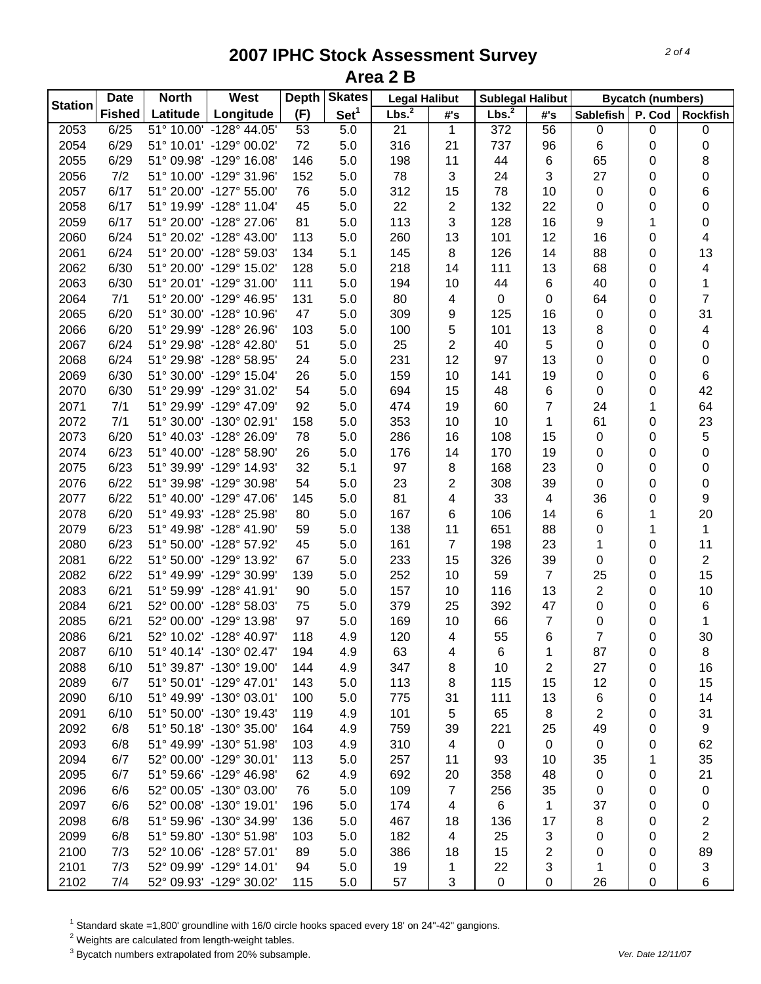| <b>Station</b> | <b>Date</b>   | <b>North</b> | West                    | <b>Depth</b> | <b>Skates</b>    | <b>Legal Halibut</b> |                | <b>Sublegal Halibut</b> |                |                  | <b>Bycatch (numbers)</b> |                  |
|----------------|---------------|--------------|-------------------------|--------------|------------------|----------------------|----------------|-------------------------|----------------|------------------|--------------------------|------------------|
|                | <b>Fished</b> | Latitude     | Longitude               | (F)          | Set <sup>1</sup> | Lbs. <sup>2</sup>    | #'s            | Lbs. <sup>2</sup>       | #'s            | <b>Sablefish</b> | P. Cod                   | <b>Rockfish</b>  |
| 2053           | 6/25          |              | 51° 10.00' -128° 44.05' | 53           | 5.0              | 21                   | 1              | $\overline{372}$        | 56             | 0                | 0                        | $\pmb{0}$        |
| 2054           | 6/29          |              | 51° 10.01' -129° 00.02' | 72           | 5.0              | 316                  | 21             | 737                     | 96             | 6                | 0                        | $\pmb{0}$        |
| 2055           | 6/29          |              | 51° 09.98' -129° 16.08' | 146          | 5.0              | 198                  | 11             | 44                      | 6              | 65               | 0                        | 8                |
| 2056           | 7/2           |              | 51° 10.00' -129° 31.96' | 152          | 5.0              | 78                   | 3              | 24                      | 3              | 27               | 0                        | 0                |
| 2057           | 6/17          |              | 51° 20.00' -127° 55.00' | 76           | 5.0              | 312                  | 15             | 78                      | 10             | 0                | 0                        | 6                |
| 2058           | 6/17          |              | 51° 19.99' -128° 11.04' | 45           | 5.0              | 22                   | 2              | 132                     | 22             | 0                | 0                        | 0                |
| 2059           | 6/17          |              | 51° 20.00' -128° 27.06' | 81           | 5.0              | 113                  | 3              | 128                     | 16             | 9                | 1                        | 0                |
| 2060           | 6/24          |              | 51° 20.02' -128° 43.00' | 113          | 5.0              | 260                  | 13             | 101                     | 12             | 16               | 0                        | 4                |
| 2061           | 6/24          |              | 51° 20.00' -128° 59.03' | 134          | 5.1              | 145                  | 8              | 126                     | 14             | 88               | 0                        | 13               |
| 2062           | 6/30          |              | 51° 20.00' -129° 15.02' | 128          | 5.0              | 218                  | 14             | 111                     | 13             | 68               | 0                        | 4                |
| 2063           | 6/30          |              | 51° 20.01' -129° 31.00' | 111          | 5.0              | 194                  | 10             | 44                      | 6              | 40               | 0                        | $\mathbf{1}$     |
| 2064           | 7/1           |              | 51° 20.00' -129° 46.95' | 131          | 5.0              | 80                   | 4              | 0                       | 0              | 64               | 0                        | $\overline{7}$   |
| 2065           | 6/20          |              | 51° 30.00' -128° 10.96' | 47           | 5.0              | 309                  | 9              | 125                     | 16             | 0                | 0                        | 31               |
| 2066           | 6/20          |              | 51° 29.99' -128° 26.96' | 103          | 5.0              | 100                  | 5              | 101                     | 13             | 8                | 0                        | 4                |
| 2067           | 6/24          |              | 51° 29.98' -128° 42.80' | 51           | 5.0              | 25                   | 2              | 40                      | 5              | 0                | 0                        | 0                |
| 2068           | 6/24          |              | 51° 29.98' -128° 58.95' | 24           | 5.0              | 231                  | 12             | 97                      | 13             | 0                | 0                        | 0                |
| 2069           | 6/30          |              | 51° 30.00' -129° 15.04' | 26           | 5.0              | 159                  | 10             | 141                     | 19             | 0                | 0                        | 6                |
| 2070           | 6/30          |              | 51° 29.99' -129° 31.02' | 54           | 5.0              | 694                  | 15             | 48                      | 6              | 0                | 0                        | 42               |
| 2071           | 7/1           |              | 51° 29.99' -129° 47.09' | 92           | 5.0              | 474                  | 19             | 60                      | 7              | 24               | 1                        | 64               |
| 2072           | 7/1           |              | 51° 30.00' -130° 02.91' | 158          | 5.0              | 353                  | 10             | 10                      | 1              | 61               | 0                        | 23               |
| 2073           | 6/20          |              | 51° 40.03' -128° 26.09' | 78           | 5.0              | 286                  | 16             | 108                     | 15             | 0                | 0                        | 5                |
| 2074           | 6/23          |              | 51° 40.00' -128° 58.90' | 26           | 5.0              | 176                  | 14             | 170                     | 19             | 0                | 0                        | $\boldsymbol{0}$ |
| 2075           | 6/23          |              | 51° 39.99' -129° 14.93' | 32           | 5.1              | 97                   | 8              | 168                     | 23             | 0                | 0                        | $\boldsymbol{0}$ |
| 2076           | 6/22          |              | 51° 39.98' -129° 30.98' | 54           | 5.0              | 23                   | $\overline{2}$ | 308                     | 39             | 0                | 0                        | $\pmb{0}$        |
| 2077           | 6/22          |              | 51° 40.00' -129° 47.06' | 145          | 5.0              | 81                   | 4              | 33                      | 4              | 36               | 0                        | 9                |
| 2078           | 6/20          |              | 51° 49.93' -128° 25.98' | 80           | 5.0              | 167                  | 6              | 106                     | 14             | 6                | 1                        | 20               |
| 2079           | 6/23          |              | 51° 49.98' -128° 41.90' | 59           | 5.0              | 138                  | 11             | 651                     | 88             | 0                | 1                        | $\mathbf{1}$     |
| 2080           | 6/23          |              | 51° 50.00' -128° 57.92' | 45           | 5.0              | 161                  | $\overline{7}$ | 198                     | 23             | 1                | 0                        | 11               |
| 2081           | 6/22          |              | 51° 50.00' -129° 13.92' | 67           | 5.0              | 233                  | 15             | 326                     | 39             | 0                | 0                        | $\overline{2}$   |
| 2082           | 6/22          |              | 51° 49.99' -129° 30.99' | 139          | 5.0              | 252                  | 10             | 59                      | $\overline{7}$ | 25               | 0                        | 15               |
| 2083           | 6/21          |              | 51° 59.99' -128° 41.91' | 90           | 5.0              | 157                  | 10             | 116                     | 13             | 2                | 0                        | 10               |
| 2084           | 6/21          |              | 52° 00.00' -128° 58.03' | 75           | 5.0              | 379                  | 25             | 392                     | 47             | 0                | 0                        | $\,6$            |
| 2085           | 6/21          |              | 52° 00.00' -129° 13.98' | 97           | 5.0              | 169                  | 10             | 66                      | $\overline{7}$ | 0                | 0                        | 1                |
| 2086           | 6/21          |              | 52° 10.02' -128° 40.97' | 118          | 4.9              | 120                  | 4              | 55                      | 6              | 7                | 0                        | 30               |
| 2087           | 6/10          |              | 51° 40.14' -130° 02.47' | 194          | 4.9              | 63                   | 4              | 6                       | 1              | 87               | 0                        | 8                |
| 2088           | 6/10          |              | 51° 39.87' -130° 19.00' | 144          | 4.9              | 347                  | 8              | 10                      | 2              | 27               | 0                        | 16               |
| 2089           | 6/7           |              | 51° 50.01' -129° 47.01' | 143          | 5.0              | 113                  | 8              | 115                     | 15             | 12               | 0                        | 15               |
| 2090           | 6/10          |              | 51° 49.99' -130° 03.01' | 100          | 5.0              | 775                  | 31             | 111                     | 13             | 6                | 0                        | 14               |
| 2091           | 6/10          |              | 51° 50.00' -130° 19.43' | 119          | 4.9              | 101                  | $\mathbf 5$    | 65                      | 8              | 2                | 0                        | 31               |
| 2092           | 6/8           |              | 51° 50.18' -130° 35.00' | 164          | 4.9              | 759                  | 39             | 221                     | 25             | 49               |                          | 9                |
| 2093           | 6/8           |              | 51° 49.99' -130° 51.98' | 103          |                  | 310                  |                | $\mathbf 0$             | 0              | $\mathbf 0$      | 0                        | 62               |
|                |               |              | 52° 00.00' -129° 30.01' |              | 4.9              |                      | 4              |                         |                |                  | 0                        |                  |
| 2094           | 6/7           |              |                         | 113          | 5.0              | 257                  | 11             | 93                      | 10             | 35               | 1                        | 35               |
| 2095           | 6/7           |              | 51° 59.66' -129° 46.98' | 62           | 4.9              | 692                  | 20             | 358                     | 48             | 0                | 0                        | 21               |
| 2096           | 6/6           |              | 52° 00.05' -130° 03.00' | 76           | 5.0              | 109                  | 7              | 256                     | 35             | 0                | 0                        | $\pmb{0}$        |
| 2097           | 6/6           |              | 52° 00.08' -130° 19.01' | 196          | 5.0              | 174                  | 4              | 6                       | 1              | 37               | 0                        | 0                |
| 2098           | 6/8           |              | 51° 59.96' -130° 34.99' | 136          | 5.0              | 467                  | 18             | 136                     | 17             | 8                | 0                        | 2                |
| 2099           | 6/8           |              | 51° 59.80' -130° 51.98' | 103          | 5.0              | 182                  | 4              | 25                      | 3              | 0                | 0                        | 2                |
| 2100           | 7/3           |              | 52° 10.06' -128° 57.01' | 89           | 5.0              | 386                  | 18             | 15                      | 2              | 0                | 0                        | 89               |
| 2101           | 7/3           |              | 52° 09.99' -129° 14.01' | 94           | 5.0              | 19                   | 1              | 22                      | 3              | 1                | 0                        | 3                |
| 2102           | 7/4           |              | 52° 09.93' -129° 30.02' | 115          | 5.0              | 57                   | 3              | $\mathbf 0$             | $\pmb{0}$      | 26               | 0                        | 6                |

 $^1$  Standard skate =1,800' groundline with 16/0 circle hooks spaced every 18' on 24"-42" gangions.<br><sup>2</sup> Weights are calculated from length-weight tables.

3 Bycatch numbers extrapolated from 20% subsample. *Ver. Date 12/11/07*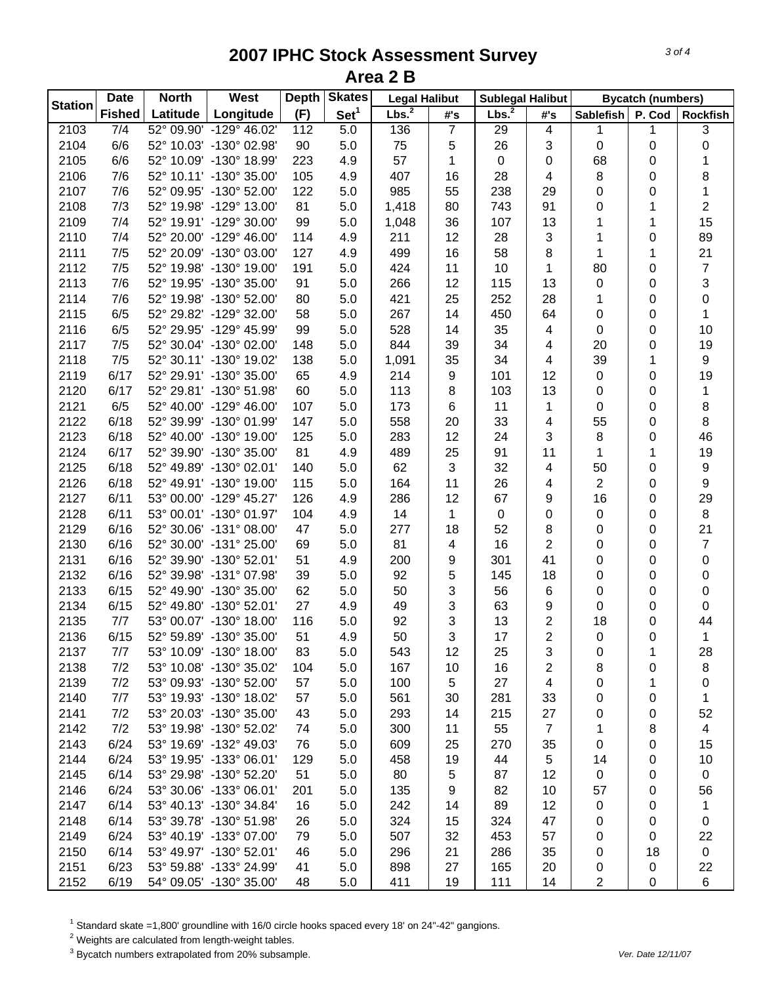| <b>Station</b><br>Lbs. <sup>2</sup><br>Lbs. <sup>2</sup><br>Set <sup>1</sup><br>Longitude<br>(F)<br><b>Fished</b><br>Latitude<br>#'s<br>#'s | Sablefish      |           |                  |
|---------------------------------------------------------------------------------------------------------------------------------------------|----------------|-----------|------------------|
|                                                                                                                                             |                | P. Cod    | <b>Rockfish</b>  |
| 2103<br>7/4<br>52° 09.90' -129° 46.02'<br>112<br>5.0<br>136<br>$\overline{7}$<br>29<br>4                                                    | 1              | 1         | 3                |
| 6/6<br>2104<br>52° 10.03' -130° 02.98'<br>90<br>75<br>5<br>26<br>3<br>5.0                                                                   | 0              | 0         | 0                |
| 57<br>2105<br>6/6<br>52° 10.09' -130° 18.99'<br>$\pmb{0}$<br>223<br>4.9<br>1<br>0                                                           | 68             | 0         | 1                |
| 2106<br>7/6<br>52° 10.11' -130° 35.00'<br>105<br>407<br>16<br>28<br>4.9<br>4                                                                | 8              | 0         | 8                |
| 2107<br>7/6<br>52° 09.95' -130° 52.00'<br>122<br>985<br>55<br>238<br>29<br>5.0                                                              | 0              | 0         | 1                |
| 7/3<br>2108<br>52° 19.98' -129° 13.00'<br>81<br>80<br>743<br>91<br>5.0<br>1,418                                                             | 0              | 1         | $\overline{2}$   |
| 2109<br>7/4<br>52° 19.91' -129° 30.00'<br>99<br>1,048<br>36<br>107<br>13<br>5.0                                                             | 1              | 1         | 15               |
| 2110<br>7/4<br>52° 20.00' -129° 46.00'<br>211<br>12<br>28<br>3<br>114<br>4.9                                                                | 1              | 0         | 89               |
| 16<br>8<br>2111<br>7/5<br>52° 20.09' -130° 03.00'<br>127<br>4.9<br>499<br>58                                                                | $\mathbf{1}$   | 1         | 21               |
| $\mathbf{1}$<br>2112<br>7/5<br>52° 19.98' -130° 19.00'<br>5.0<br>424<br>11<br>10<br>191                                                     | 80             | 0         | $\boldsymbol{7}$ |
| 12<br>2113<br>7/6<br>52° 19.95' -130° 35.00'<br>91<br>5.0<br>266<br>115<br>13                                                               | 0              | 0         | 3                |
| 2114<br>7/6<br>52° 19.98' -130° 52.00'<br>80<br>5.0<br>421<br>25<br>252<br>28                                                               | 1              | 0         | $\pmb{0}$        |
| 6/5<br>267<br>2115<br>52° 29.82' -129° 32.00'<br>58<br>5.0<br>14<br>450<br>64                                                               | 0              | 0         | $\mathbf{1}$     |
| 6/5<br>528<br>35<br>2116<br>52° 29.95' -129° 45.99'<br>99<br>5.0<br>14<br>4                                                                 | $\mathbf 0$    | 0         | 10               |
| 2117<br>7/5<br>52° 30.04' -130° 02.00'<br>5.0<br>844<br>39<br>34<br>148<br>4                                                                | 20             | 0         | 19               |
| 2118<br>7/5<br>52° 30.11' -130° 19.02'<br>138<br>1,091<br>35<br>34<br>5.0<br>4                                                              | 39             | 1         | 9                |
| 6/17<br>2119<br>52° 29.91' -130° 35.00'<br>65<br>214<br>9<br>101<br>12<br>4.9                                                               | 0              | 0         | 19               |
| 2120<br>6/17<br>52° 29.81' -130° 51.98'<br>60<br>113<br>103<br>13<br>5.0<br>8                                                               | 0              | 0         | 1                |
| 2121<br>6/5<br>52° 40.00' -129° 46.00'<br>107<br>173<br>11<br>5.0<br>6<br>1                                                                 | 0              | 0         | 8                |
| 2122<br>6/18<br>52° 39.99' -130° 01.99'<br>147<br>5.0<br>558<br>20<br>33<br>4                                                               | 55             | 0         | 8                |
| 2123<br>52° 40.00' -130° 19.00'<br>12<br>6/18<br>125<br>5.0<br>283<br>24<br>3                                                               | 8              | 0         | 46               |
| 2124<br>6/17<br>52° 39.90' -130° 35.00'<br>81<br>25<br>489<br>91<br>11<br>4.9                                                               | 1              |           | 19               |
| 62<br>32<br>2125<br>6/18<br>52° 49.89' -130° 02.01'<br>140<br>3<br>4<br>5.0                                                                 | 50             | 1         | 9                |
| 2126<br>6/18<br>52° 49.91' -130° 19.00'<br>164<br>11<br>26<br>4<br>115                                                                      | $\overline{2}$ | 0         | $\boldsymbol{9}$ |
| 5.0                                                                                                                                         |                | 0         |                  |
| 2127<br>6/11<br>53° 00.00' -129° 45.27'<br>126<br>286<br>12<br>67<br>9<br>4.9                                                               | 16             | 0         | 29               |
| 53° 00.01' -130° 01.97'<br>2128<br>6/11<br>4.9<br>14<br>1<br>$\pmb{0}$<br>$\pmb{0}$<br>104                                                  | 0              | $\pmb{0}$ | $\, 8$           |
| 2129<br>52<br>6/16<br>52° 30.06' -131° 08.00'<br>47<br>5.0<br>277<br>18<br>8                                                                | 0              | $\pmb{0}$ | 21               |
| $\overline{2}$<br>81<br>2130<br>6/16<br>52° 30.00' -131° 25.00'<br>5.0<br>4<br>16<br>69                                                     | 0              | $\pmb{0}$ | $\overline{7}$   |
| 41<br>2131<br>6/16<br>52° 39.90' -130° 52.01'<br>51<br>4.9<br>200<br>9<br>301                                                               | 0              | 0         | $\pmb{0}$        |
| 5<br>2132<br>6/16<br>52° 39.98' -131° 07.98'<br>39<br>5.0<br>92<br>145<br>18                                                                | 0              | 0         | $\pmb{0}$        |
| 3<br>2133<br>6/15<br>52° 49.90' -130° 35.00'<br>62<br>50<br>56<br>6<br>5.0                                                                  | 0              | 0         | $\pmb{0}$        |
| 3<br>2134<br>52° 49.80' -130° 52.01'<br>9<br>6/15<br>27<br>4.9<br>49<br>63                                                                  | 0              | 0         | $\pmb{0}$        |
| 3<br>$\boldsymbol{2}$<br>2135<br>7/7<br>53° 00.07' -130° 18.00'<br>92<br>13<br>116<br>5.0                                                   | 18             | 0         | 44               |
| $\overline{2}$<br>2136<br>3<br>6/15<br>52° 59.89' -130° 35.00'<br>51<br>50<br>17<br>4.9                                                     | 0              | 0         | $\mathbf 1$      |
| 2137<br>53° 10.09' -130° 18.00'<br>5.0<br>7/7<br>83<br>543<br>12<br>25<br>3                                                                 | 0              | 1         | 28               |
| 2138<br>7/2<br>167<br>2<br>53° 10.08' -130° 35.02'<br>104<br>5.0<br>10<br>16                                                                | 8              | 0         | 8                |
| 2139<br>7/2<br>53° 09.93' -130° 52.00'<br>57<br>100<br>5<br>5.0<br>27<br>4                                                                  | 0              | 1         | 0                |
| 2140<br>7/7<br>53° 19.93' -130° 18.02'<br>57<br>561<br>5.0<br>30<br>281<br>33                                                               | 0              | 0         | 1                |
| 2141<br>7/2<br>53° 20.03' -130° 35.00'<br>215<br>27<br>43<br>5.0<br>293<br>14                                                               | 0              | 0         | 52               |
| 55<br>$\overline{7}$<br>2142<br>7/2<br>53° 19.98' -130° 52.02'<br>300<br>11<br>74<br>5.0                                                    | 1              | 8         | $\overline{4}$   |
| 2143<br>6/24<br>53° 19.69' -132° 49.03'<br>76<br>609<br>25<br>270<br>35<br>5.0                                                              | 0              | 0         | 15               |
| 2144<br>6/24<br>53° 19.95' -133° 06.01'<br>19<br>44<br>5<br>129<br>5.0<br>458                                                               | 14             | 0         | 10               |
| 2145<br>6/14<br>53° 29.98' -130° 52.20'<br>51<br>80<br>5<br>87<br>12<br>5.0                                                                 | 0              | 0         | $\pmb{0}$        |
| 2146<br>6/24<br>53° 30.06' -133° 06.01'<br>9<br>82<br>201<br>5.0<br>135<br>10                                                               | 57             | 0         | 56               |
| 2147<br>6/14<br>53° 40.13' -130° 34.84'<br>242<br>89<br>12<br>16<br>5.0<br>14                                                               | 0              | 0         | 1                |
| 2148<br>6/14<br>53° 39.78' -130° 51.98'<br>324<br>324<br>47<br>26<br>5.0<br>15                                                              | 0              | 0         | 0                |
| 2149<br>53° 40.19' -133° 07.00'<br>507<br>32<br>453<br>57<br>6/24<br>79<br>5.0                                                              | 0              | 0         | 22               |
| 2150<br>286<br>6/14<br>53° 49.97' -130° 52.01'<br>46<br>296<br>21<br>35<br>5.0                                                              | 0              | 18        | 0                |
| 2151<br>165<br>6/23<br>53° 59.88' -133° 24.99'<br>898<br>27<br>20<br>41<br>5.0                                                              | 0              | 0         | 22               |
| 2152<br>6/19<br>54° 09.05' -130° 35.00'<br>411<br>19<br>48<br>5.0<br>111<br>14                                                              | 2              | 0         | $\,6$            |

<sup>1</sup> Standard skate =1,800' groundline with 16/0 circle hooks spaced every 18' on 24"-42" gangions.<br><sup>2</sup> Weights are calculated from length-weight tables.<br><sup>3</sup> Bycatch numbers extrapolated from 20% subsample.